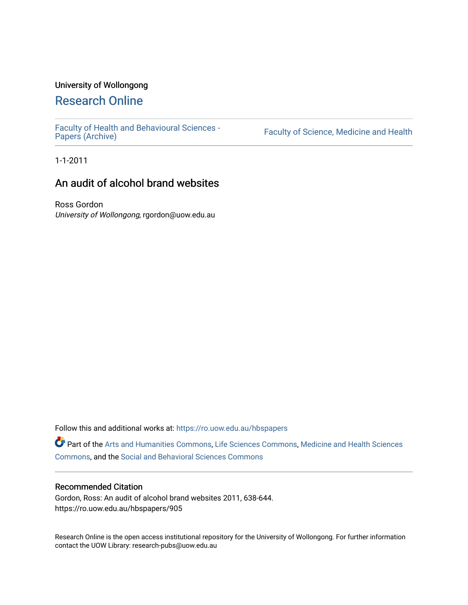# University of Wollongong

# [Research Online](https://ro.uow.edu.au/)

[Faculty of Health and Behavioural Sciences -](https://ro.uow.edu.au/hbspapers)<br>Papers (Archive)

Faculty of Science, Medicine and Health

1-1-2011

# An audit of alcohol brand websites

Ross Gordon University of Wollongong, rgordon@uow.edu.au

Follow this and additional works at: [https://ro.uow.edu.au/hbspapers](https://ro.uow.edu.au/hbspapers?utm_source=ro.uow.edu.au%2Fhbspapers%2F905&utm_medium=PDF&utm_campaign=PDFCoverPages) 

Part of the [Arts and Humanities Commons,](http://network.bepress.com/hgg/discipline/438?utm_source=ro.uow.edu.au%2Fhbspapers%2F905&utm_medium=PDF&utm_campaign=PDFCoverPages) [Life Sciences Commons,](http://network.bepress.com/hgg/discipline/1016?utm_source=ro.uow.edu.au%2Fhbspapers%2F905&utm_medium=PDF&utm_campaign=PDFCoverPages) [Medicine and Health Sciences](http://network.bepress.com/hgg/discipline/648?utm_source=ro.uow.edu.au%2Fhbspapers%2F905&utm_medium=PDF&utm_campaign=PDFCoverPages) [Commons](http://network.bepress.com/hgg/discipline/648?utm_source=ro.uow.edu.au%2Fhbspapers%2F905&utm_medium=PDF&utm_campaign=PDFCoverPages), and the [Social and Behavioral Sciences Commons](http://network.bepress.com/hgg/discipline/316?utm_source=ro.uow.edu.au%2Fhbspapers%2F905&utm_medium=PDF&utm_campaign=PDFCoverPages)

#### Recommended Citation

Gordon, Ross: An audit of alcohol brand websites 2011, 638-644. https://ro.uow.edu.au/hbspapers/905

Research Online is the open access institutional repository for the University of Wollongong. For further information contact the UOW Library: research-pubs@uow.edu.au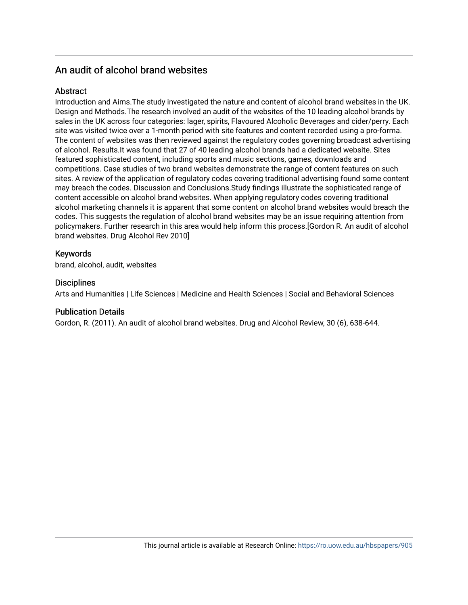# An audit of alcohol brand websites

# **Abstract**

Introduction and Aims.The study investigated the nature and content of alcohol brand websites in the UK. Design and Methods.The research involved an audit of the websites of the 10 leading alcohol brands by sales in the UK across four categories: lager, spirits, Flavoured Alcoholic Beverages and cider/perry. Each site was visited twice over a 1-month period with site features and content recorded using a pro-forma. The content of websites was then reviewed against the regulatory codes governing broadcast advertising of alcohol. Results.It was found that 27 of 40 leading alcohol brands had a dedicated website. Sites featured sophisticated content, including sports and music sections, games, downloads and competitions. Case studies of two brand websites demonstrate the range of content features on such sites. A review of the application of regulatory codes covering traditional advertising found some content may breach the codes. Discussion and Conclusions.Study findings illustrate the sophisticated range of content accessible on alcohol brand websites. When applying regulatory codes covering traditional alcohol marketing channels it is apparent that some content on alcohol brand websites would breach the codes. This suggests the regulation of alcohol brand websites may be an issue requiring attention from policymakers. Further research in this area would help inform this process.[Gordon R. An audit of alcohol brand websites. Drug Alcohol Rev 2010]

# Keywords

brand, alcohol, audit, websites

# **Disciplines**

Arts and Humanities | Life Sciences | Medicine and Health Sciences | Social and Behavioral Sciences

## Publication Details

Gordon, R. (2011). An audit of alcohol brand websites. Drug and Alcohol Review, 30 (6), 638-644.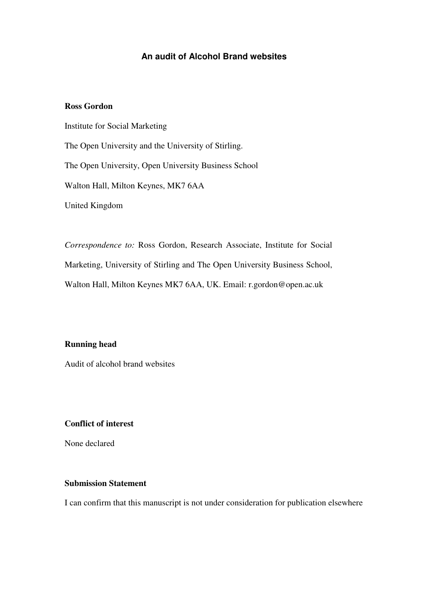# **An audit of Alcohol Brand websites**

# **Ross Gordon**

Institute for Social Marketing The Open University and the University of Stirling. The Open University, Open University Business School Walton Hall, Milton Keynes, MK7 6AA United Kingdom

*Correspondence to:* Ross Gordon, Research Associate, Institute for Social Marketing, University of Stirling and The Open University Business School, Walton Hall, Milton Keynes MK7 6AA, UK. Email: r.gordon@open.ac.uk

## **Running head**

Audit of alcohol brand websites

# **Conflict of interest**

None declared

# **Submission Statement**

I can confirm that this manuscript is not under consideration for publication elsewhere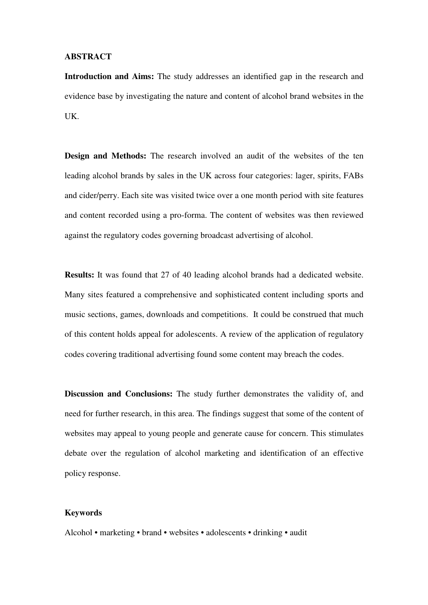#### **ABSTRACT**

**Introduction and Aims:** The study addresses an identified gap in the research and evidence base by investigating the nature and content of alcohol brand websites in the UK.

**Design and Methods:** The research involved an audit of the websites of the ten leading alcohol brands by sales in the UK across four categories: lager, spirits, FABs and cider/perry. Each site was visited twice over a one month period with site features and content recorded using a pro-forma. The content of websites was then reviewed against the regulatory codes governing broadcast advertising of alcohol.

**Results:** It was found that 27 of 40 leading alcohol brands had a dedicated website. Many sites featured a comprehensive and sophisticated content including sports and music sections, games, downloads and competitions. It could be construed that much of this content holds appeal for adolescents. A review of the application of regulatory codes covering traditional advertising found some content may breach the codes.

**Discussion and Conclusions:** The study further demonstrates the validity of, and need for further research, in this area. The findings suggest that some of the content of websites may appeal to young people and generate cause for concern. This stimulates debate over the regulation of alcohol marketing and identification of an effective policy response.

#### **Keywords**

Alcohol • marketing • brand • websites • adolescents • drinking • audit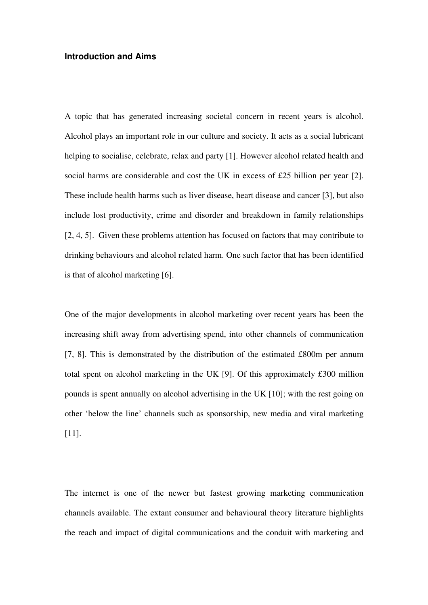# **Introduction and Aims**

A topic that has generated increasing societal concern in recent years is alcohol. Alcohol plays an important role in our culture and society. It acts as a social lubricant helping to socialise, celebrate, relax and party [1]. However alcohol related health and social harms are considerable and cost the UK in excess of £25 billion per year [2]. These include health harms such as liver disease, heart disease and cancer [3], but also include lost productivity, crime and disorder and breakdown in family relationships [2, 4, 5]. Given these problems attention has focused on factors that may contribute to drinking behaviours and alcohol related harm. One such factor that has been identified is that of alcohol marketing [6].

One of the major developments in alcohol marketing over recent years has been the increasing shift away from advertising spend, into other channels of communication [7, 8]. This is demonstrated by the distribution of the estimated £800m per annum total spent on alcohol marketing in the UK [9]. Of this approximately £300 million pounds is spent annually on alcohol advertising in the UK [10]; with the rest going on other 'below the line' channels such as sponsorship, new media and viral marketing [11].

The internet is one of the newer but fastest growing marketing communication channels available. The extant consumer and behavioural theory literature highlights the reach and impact of digital communications and the conduit with marketing and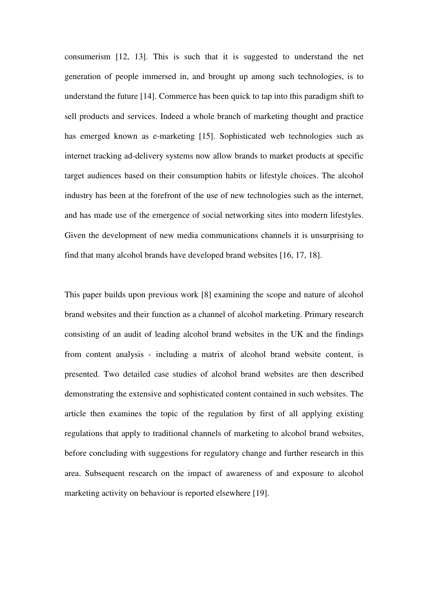consumerism [12, 13]. This is such that it is suggested to understand the net generation of people immersed in, and brought up among such technologies, is to understand the future [14]. Commerce has been quick to tap into this paradigm shift to sell products and services. Indeed a whole branch of marketing thought and practice has emerged known as e-marketing [15]. Sophisticated web technologies such as internet tracking ad-delivery systems now allow brands to market products at specific target audiences based on their consumption habits or lifestyle choices. The alcohol industry has been at the forefront of the use of new technologies such as the internet, and has made use of the emergence of social networking sites into modern lifestyles. Given the development of new media communications channels it is unsurprising to find that many alcohol brands have developed brand websites [16, 17, 18].

This paper builds upon previous work [8] examining the scope and nature of alcohol brand websites and their function as a channel of alcohol marketing. Primary research consisting of an audit of leading alcohol brand websites in the UK and the findings from content analysis - including a matrix of alcohol brand website content, is presented. Two detailed case studies of alcohol brand websites are then described demonstrating the extensive and sophisticated content contained in such websites. The article then examines the topic of the regulation by first of all applying existing regulations that apply to traditional channels of marketing to alcohol brand websites, before concluding with suggestions for regulatory change and further research in this area. Subsequent research on the impact of awareness of and exposure to alcohol marketing activity on behaviour is reported elsewhere [19].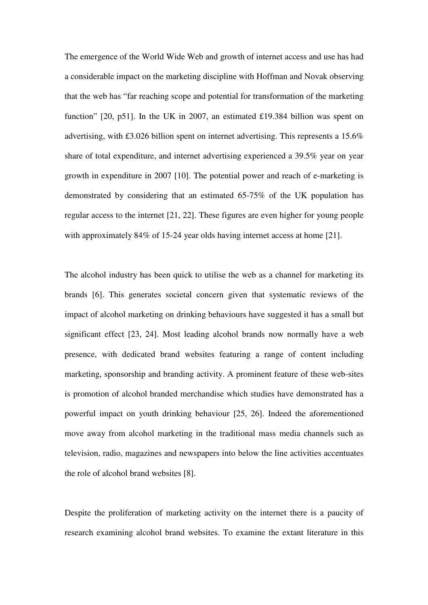The emergence of the World Wide Web and growth of internet access and use has had a considerable impact on the marketing discipline with Hoffman and Novak observing that the web has "far reaching scope and potential for transformation of the marketing function" [20, p51]. In the UK in 2007, an estimated £19.384 billion was spent on advertising, with £3.026 billion spent on internet advertising. This represents a 15.6% share of total expenditure, and internet advertising experienced a 39.5% year on year growth in expenditure in 2007 [10]. The potential power and reach of e-marketing is demonstrated by considering that an estimated 65-75% of the UK population has regular access to the internet [21, 22]. These figures are even higher for young people with approximately 84% of 15-24 year olds having internet access at home [21].

The alcohol industry has been quick to utilise the web as a channel for marketing its brands [6]. This generates societal concern given that systematic reviews of the impact of alcohol marketing on drinking behaviours have suggested it has a small but significant effect [23, 24]. Most leading alcohol brands now normally have a web presence, with dedicated brand websites featuring a range of content including marketing, sponsorship and branding activity. A prominent feature of these web-sites is promotion of alcohol branded merchandise which studies have demonstrated has a powerful impact on youth drinking behaviour [25, 26]. Indeed the aforementioned move away from alcohol marketing in the traditional mass media channels such as television, radio, magazines and newspapers into below the line activities accentuates the role of alcohol brand websites [8].

Despite the proliferation of marketing activity on the internet there is a paucity of research examining alcohol brand websites. To examine the extant literature in this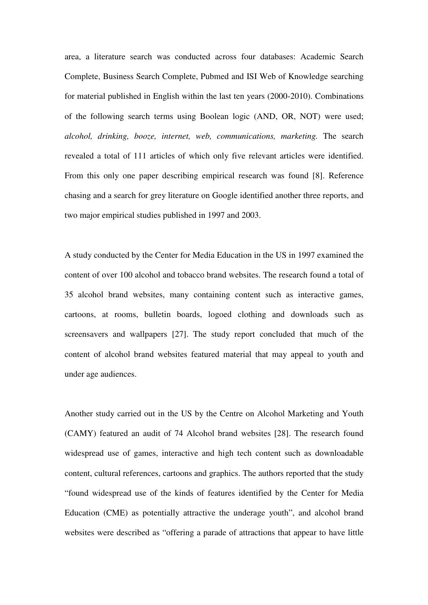area, a literature search was conducted across four databases: Academic Search Complete, Business Search Complete, Pubmed and ISI Web of Knowledge searching for material published in English within the last ten years (2000-2010). Combinations of the following search terms using Boolean logic (AND, OR, NOT) were used; *alcohol, drinking, booze, internet, web, communications, marketing.* The search revealed a total of 111 articles of which only five relevant articles were identified. From this only one paper describing empirical research was found [8]. Reference chasing and a search for grey literature on Google identified another three reports, and two major empirical studies published in 1997 and 2003.

A study conducted by the Center for Media Education in the US in 1997 examined the content of over 100 alcohol and tobacco brand websites. The research found a total of 35 alcohol brand websites, many containing content such as interactive games, cartoons, at rooms, bulletin boards, logoed clothing and downloads such as screensavers and wallpapers [27]. The study report concluded that much of the content of alcohol brand websites featured material that may appeal to youth and under age audiences.

Another study carried out in the US by the Centre on Alcohol Marketing and Youth (CAMY) featured an audit of 74 Alcohol brand websites [28]. The research found widespread use of games, interactive and high tech content such as downloadable content, cultural references, cartoons and graphics. The authors reported that the study "found widespread use of the kinds of features identified by the Center for Media Education (CME) as potentially attractive the underage youth", and alcohol brand websites were described as "offering a parade of attractions that appear to have little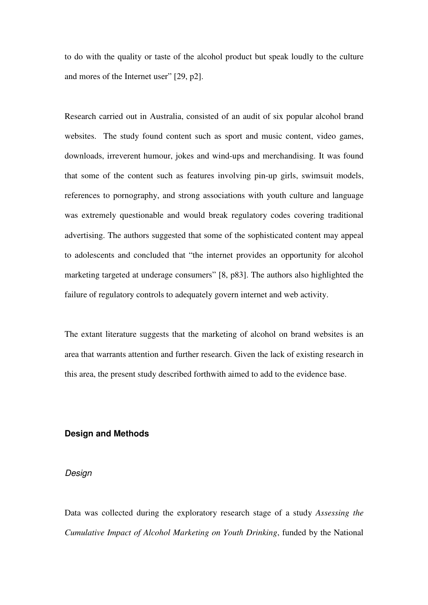to do with the quality or taste of the alcohol product but speak loudly to the culture and mores of the Internet user" [29, p2].

Research carried out in Australia, consisted of an audit of six popular alcohol brand websites. The study found content such as sport and music content, video games, downloads, irreverent humour, jokes and wind-ups and merchandising. It was found that some of the content such as features involving pin-up girls, swimsuit models, references to pornography, and strong associations with youth culture and language was extremely questionable and would break regulatory codes covering traditional advertising. The authors suggested that some of the sophisticated content may appeal to adolescents and concluded that "the internet provides an opportunity for alcohol marketing targeted at underage consumers" [8, p83]. The authors also highlighted the failure of regulatory controls to adequately govern internet and web activity.

The extant literature suggests that the marketing of alcohol on brand websites is an area that warrants attention and further research. Given the lack of existing research in this area, the present study described forthwith aimed to add to the evidence base.

#### **Design and Methods**

#### Design

Data was collected during the exploratory research stage of a study *Assessing the Cumulative Impact of Alcohol Marketing on Youth Drinking*, funded by the National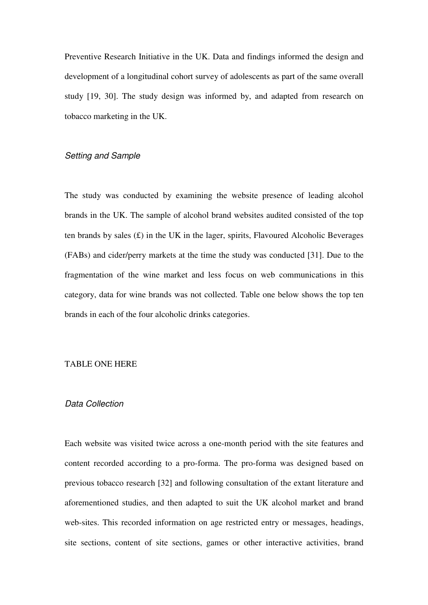Preventive Research Initiative in the UK. Data and findings informed the design and development of a longitudinal cohort survey of adolescents as part of the same overall study [19, 30]. The study design was informed by, and adapted from research on tobacco marketing in the UK.

# Setting and Sample

The study was conducted by examining the website presence of leading alcohol brands in the UK. The sample of alcohol brand websites audited consisted of the top ten brands by sales  $(E)$  in the UK in the lager, spirits, Flavoured Alcoholic Beverages (FABs) and cider/perry markets at the time the study was conducted [31]. Due to the fragmentation of the wine market and less focus on web communications in this category, data for wine brands was not collected. Table one below shows the top ten brands in each of the four alcoholic drinks categories.

#### TABLE ONE HERE

#### Data Collection

Each website was visited twice across a one-month period with the site features and content recorded according to a pro-forma. The pro-forma was designed based on previous tobacco research [32] and following consultation of the extant literature and aforementioned studies, and then adapted to suit the UK alcohol market and brand web-sites. This recorded information on age restricted entry or messages, headings, site sections, content of site sections, games or other interactive activities, brand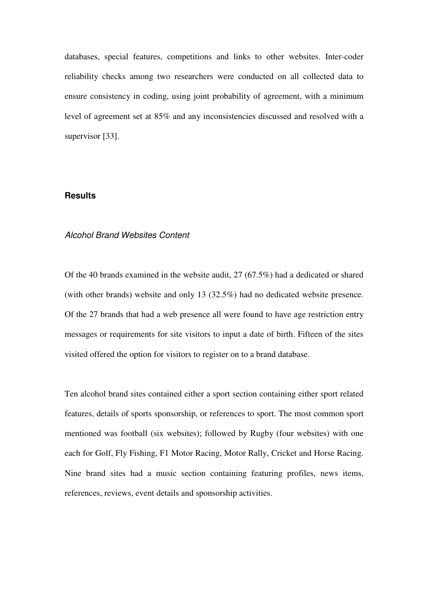databases, special features, competitions and links to other websites. Inter-coder reliability checks among two researchers were conducted on all collected data to ensure consistency in coding, using joint probability of agreement, with a minimum level of agreement set at 85% and any inconsistencies discussed and resolved with a supervisor [33].

#### **Results**

#### Alcohol Brand Websites Content

Of the 40 brands examined in the website audit, 27 (67.5%) had a dedicated or shared (with other brands) website and only 13 (32.5%) had no dedicated website presence. Of the 27 brands that had a web presence all were found to have age restriction entry messages or requirements for site visitors to input a date of birth. Fifteen of the sites visited offered the option for visitors to register on to a brand database.

Ten alcohol brand sites contained either a sport section containing either sport related features, details of sports sponsorship, or references to sport. The most common sport mentioned was football (six websites); followed by Rugby (four websites) with one each for Golf, Fly Fishing, F1 Motor Racing, Motor Rally, Cricket and Horse Racing. Nine brand sites had a music section containing featuring profiles, news items, references, reviews, event details and sponsorship activities.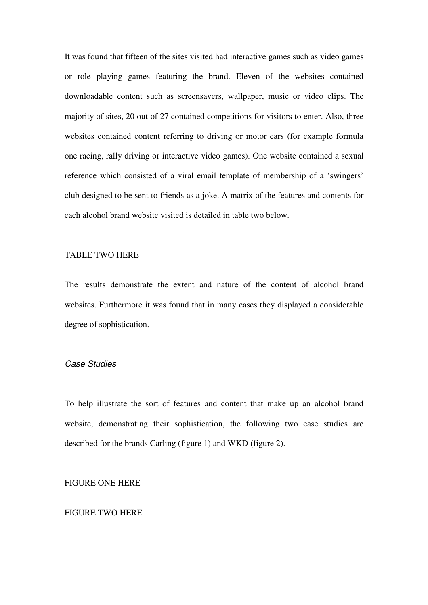It was found that fifteen of the sites visited had interactive games such as video games or role playing games featuring the brand. Eleven of the websites contained downloadable content such as screensavers, wallpaper, music or video clips. The majority of sites, 20 out of 27 contained competitions for visitors to enter. Also, three websites contained content referring to driving or motor cars (for example formula one racing, rally driving or interactive video games). One website contained a sexual reference which consisted of a viral email template of membership of a 'swingers' club designed to be sent to friends as a joke. A matrix of the features and contents for each alcohol brand website visited is detailed in table two below.

## TABLE TWO HERE

The results demonstrate the extent and nature of the content of alcohol brand websites. Furthermore it was found that in many cases they displayed a considerable degree of sophistication.

# Case Studies

To help illustrate the sort of features and content that make up an alcohol brand website, demonstrating their sophistication, the following two case studies are described for the brands Carling (figure 1) and WKD (figure 2).

#### FIGURE ONE HERE

#### FIGURE TWO HERE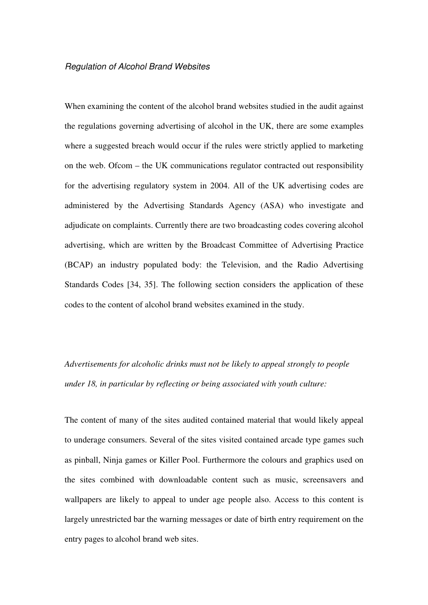#### Regulation of Alcohol Brand Websites

When examining the content of the alcohol brand websites studied in the audit against the regulations governing advertising of alcohol in the UK, there are some examples where a suggested breach would occur if the rules were strictly applied to marketing on the web. Ofcom – the UK communications regulator contracted out responsibility for the advertising regulatory system in 2004. All of the UK advertising codes are administered by the Advertising Standards Agency (ASA) who investigate and adjudicate on complaints. Currently there are two broadcasting codes covering alcohol advertising, which are written by the Broadcast Committee of Advertising Practice (BCAP) an industry populated body: the Television, and the Radio Advertising Standards Codes [34, 35]. The following section considers the application of these codes to the content of alcohol brand websites examined in the study.

# *Advertisements for alcoholic drinks must not be likely to appeal strongly to people under 18, in particular by reflecting or being associated with youth culture:*

The content of many of the sites audited contained material that would likely appeal to underage consumers. Several of the sites visited contained arcade type games such as pinball, Ninja games or Killer Pool. Furthermore the colours and graphics used on the sites combined with downloadable content such as music, screensavers and wallpapers are likely to appeal to under age people also. Access to this content is largely unrestricted bar the warning messages or date of birth entry requirement on the entry pages to alcohol brand web sites.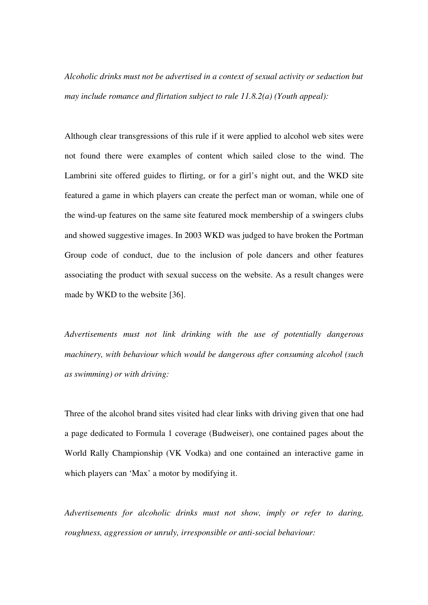*Alcoholic drinks must not be advertised in a context of sexual activity or seduction but may include romance and flirtation subject to rule 11.8.2(a) (Youth appeal):* 

Although clear transgressions of this rule if it were applied to alcohol web sites were not found there were examples of content which sailed close to the wind. The Lambrini site offered guides to flirting, or for a girl's night out, and the WKD site featured a game in which players can create the perfect man or woman, while one of the wind-up features on the same site featured mock membership of a swingers clubs and showed suggestive images. In 2003 WKD was judged to have broken the Portman Group code of conduct, due to the inclusion of pole dancers and other features associating the product with sexual success on the website. As a result changes were made by WKD to the website [36].

*Advertisements must not link drinking with the use of potentially dangerous machinery, with behaviour which would be dangerous after consuming alcohol (such as swimming) or with driving:*

Three of the alcohol brand sites visited had clear links with driving given that one had a page dedicated to Formula 1 coverage (Budweiser), one contained pages about the World Rally Championship (VK Vodka) and one contained an interactive game in which players can 'Max' a motor by modifying it.

*Advertisements for alcoholic drinks must not show, imply or refer to daring, roughness, aggression or unruly, irresponsible or anti-social behaviour:*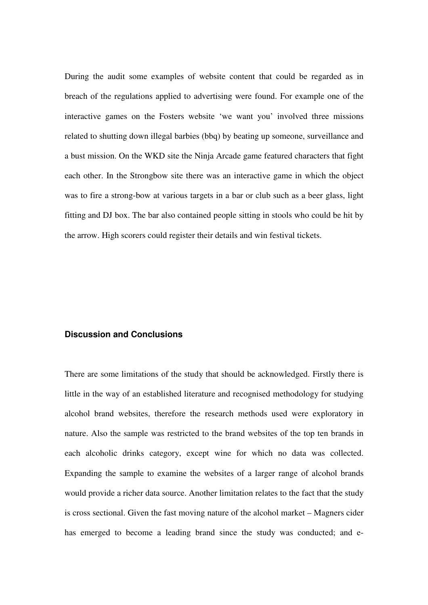During the audit some examples of website content that could be regarded as in breach of the regulations applied to advertising were found. For example one of the interactive games on the Fosters website 'we want you' involved three missions related to shutting down illegal barbies (bbq) by beating up someone, surveillance and a bust mission. On the WKD site the Ninja Arcade game featured characters that fight each other. In the Strongbow site there was an interactive game in which the object was to fire a strong-bow at various targets in a bar or club such as a beer glass, light fitting and DJ box. The bar also contained people sitting in stools who could be hit by the arrow. High scorers could register their details and win festival tickets.

# **Discussion and Conclusions**

There are some limitations of the study that should be acknowledged. Firstly there is little in the way of an established literature and recognised methodology for studying alcohol brand websites, therefore the research methods used were exploratory in nature. Also the sample was restricted to the brand websites of the top ten brands in each alcoholic drinks category, except wine for which no data was collected. Expanding the sample to examine the websites of a larger range of alcohol brands would provide a richer data source. Another limitation relates to the fact that the study is cross sectional. Given the fast moving nature of the alcohol market – Magners cider has emerged to become a leading brand since the study was conducted; and e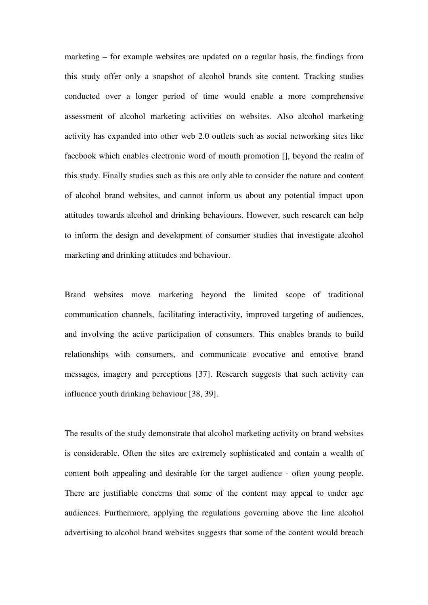marketing – for example websites are updated on a regular basis, the findings from this study offer only a snapshot of alcohol brands site content. Tracking studies conducted over a longer period of time would enable a more comprehensive assessment of alcohol marketing activities on websites. Also alcohol marketing activity has expanded into other web 2.0 outlets such as social networking sites like facebook which enables electronic word of mouth promotion [], beyond the realm of this study. Finally studies such as this are only able to consider the nature and content of alcohol brand websites, and cannot inform us about any potential impact upon attitudes towards alcohol and drinking behaviours. However, such research can help to inform the design and development of consumer studies that investigate alcohol marketing and drinking attitudes and behaviour.

Brand websites move marketing beyond the limited scope of traditional communication channels, facilitating interactivity, improved targeting of audiences, and involving the active participation of consumers. This enables brands to build relationships with consumers, and communicate evocative and emotive brand messages, imagery and perceptions [37]. Research suggests that such activity can influence youth drinking behaviour [38, 39].

The results of the study demonstrate that alcohol marketing activity on brand websites is considerable. Often the sites are extremely sophisticated and contain a wealth of content both appealing and desirable for the target audience - often young people. There are justifiable concerns that some of the content may appeal to under age audiences. Furthermore, applying the regulations governing above the line alcohol advertising to alcohol brand websites suggests that some of the content would breach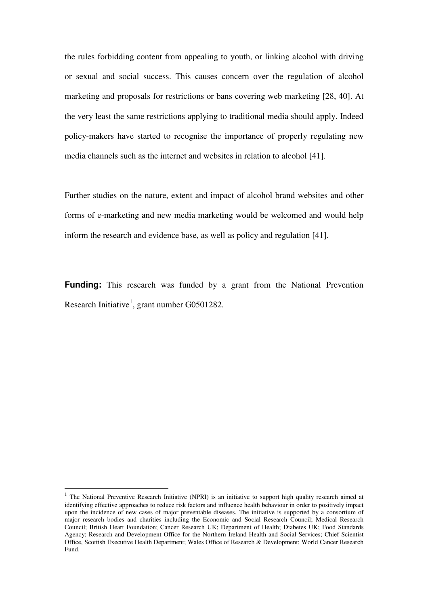the rules forbidding content from appealing to youth, or linking alcohol with driving or sexual and social success. This causes concern over the regulation of alcohol marketing and proposals for restrictions or bans covering web marketing [28, 40]. At the very least the same restrictions applying to traditional media should apply. Indeed policy-makers have started to recognise the importance of properly regulating new media channels such as the internet and websites in relation to alcohol [41].

Further studies on the nature, extent and impact of alcohol brand websites and other forms of e-marketing and new media marketing would be welcomed and would help inform the research and evidence base, as well as policy and regulation [41].

**Funding:** This research was funded by a grant from the National Prevention Research Initiative<sup>1</sup>, grant number G0501282.

 $\overline{a}$ 

<sup>&</sup>lt;sup>1</sup> The National Preventive Research Initiative (NPRI) is an initiative to support high quality research aimed at identifying effective approaches to reduce risk factors and influence health behaviour in order to positively impact upon the incidence of new cases of major preventable diseases. The initiative is supported by a consortium of major research bodies and charities including the Economic and Social Research Council; Medical Research Council; British Heart Foundation; Cancer Research UK; Department of Health; Diabetes UK; Food Standards Agency; Research and Development Office for the Northern Ireland Health and Social Services; Chief Scientist Office, Scottish Executive Health Department; Wales Office of Research & Development; World Cancer Research Fund.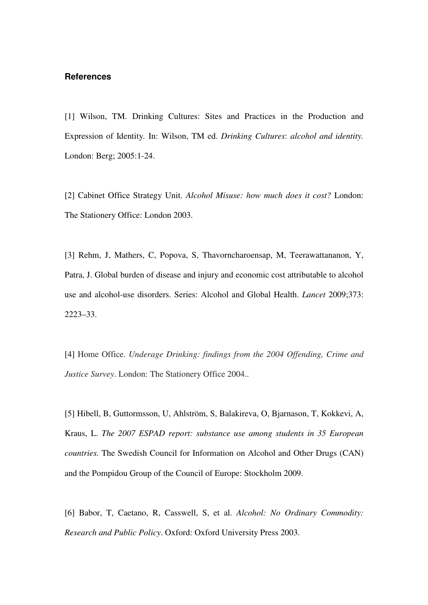#### **References**

[1] Wilson, TM. Drinking Cultures: Sites and Practices in the Production and Expression of Identity*.* In: Wilson, TM ed. *Drinking Cultures*: *alcohol and identity.* London: Berg; 2005:1-24.

[2] Cabinet Office Strategy Unit. *Alcohol Misuse: how much does it cost?* London: The Stationery Office: London 2003.

[3] Rehm, J, Mathers, C, Popova, S, Thavorncharoensap, M, Teerawattananon, Y, Patra, J. Global burden of disease and injury and economic cost attributable to alcohol use and alcohol-use disorders. Series: Alcohol and Global Health. *Lancet* 2009;373: 2223–33.

[4] Home Office. *Underage Drinking: findings from the 2004 Offending, Crime and Justice Survey*. London: The Stationery Office 2004..

[5] Hibell, B, Guttormsson, U, Ahlström, S, Balakireva, O, Bjarnason, T, Kokkevi, A, Kraus, L. *The 2007 ESPAD report: substance use among students in 35 European countries.* The Swedish Council for Information on Alcohol and Other Drugs (CAN) and the Pompidou Group of the Council of Europe: Stockholm 2009.

[6] Babor, T, Caetano, R, Casswell, S, et al. *Alcohol: No Ordinary Commodity: Research and Public Policy*. Oxford: Oxford University Press 2003.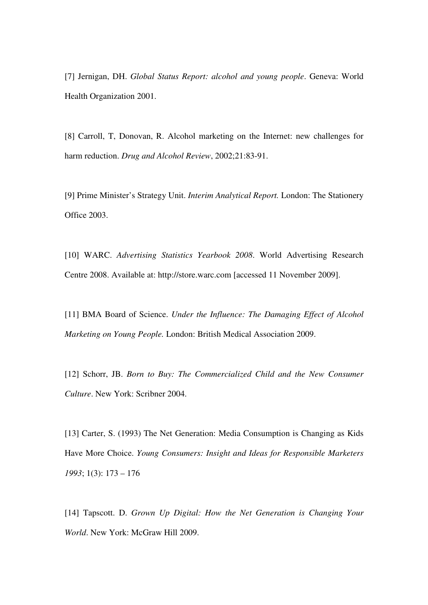[7] Jernigan, DH. *Global Status Report: alcohol and young people*. Geneva: World Health Organization 2001.

[8] Carroll, T, Donovan, R. Alcohol marketing on the Internet: new challenges for harm reduction. *Drug and Alcohol Review*, 2002;21:83-91.

[9] Prime Minister's Strategy Unit. *Interim Analytical Report.* London: The Stationery Office 2003.

[10] WARC. *Advertising Statistics Yearbook 2008*. World Advertising Research Centre 2008. Available at: http://store.warc.com [accessed 11 November 2009].

[11] BMA Board of Science. *Under the Influence: The Damaging Effect of Alcohol Marketing on Young People.* London: British Medical Association 2009.

[12] Schorr, JB. *Born to Buy: The Commercialized Child and the New Consumer Culture*. New York: Scribner 2004.

[13] Carter, S. (1993) The Net Generation: Media Consumption is Changing as Kids Have More Choice. *Young Consumers: Insight and Ideas for Responsible Marketers 1993*; 1(3): 173 – 176

[14] Tapscott. D. *Grown Up Digital: How the Net Generation is Changing Your World*. New York: McGraw Hill 2009.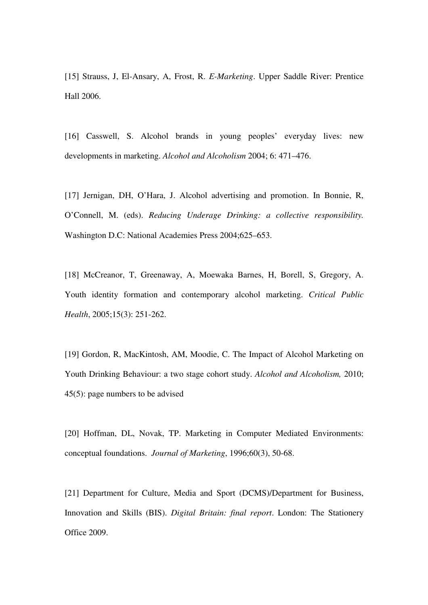[15] Strauss, J, El-Ansary, A, Frost, R. *E-Marketing*. Upper Saddle River: Prentice Hall 2006.

[16] Casswell, S. Alcohol brands in young peoples' everyday lives: new developments in marketing. *Alcohol and Alcoholism* 2004; 6: 471–476.

[17] Jernigan, DH, O'Hara, J. Alcohol advertising and promotion. In Bonnie, R, O'Connell, M. (eds). *Reducing Underage Drinking: a collective responsibility.* Washington D.C: National Academies Press 2004;625–653.

[18] McCreanor, T, Greenaway, A, Moewaka Barnes, H, Borell, S, Gregory, A. Youth identity formation and contemporary alcohol marketing. *Critical Public Health*, 2005;15(3): 251-262.

[19] Gordon, R, MacKintosh, AM, Moodie, C. The Impact of Alcohol Marketing on Youth Drinking Behaviour: a two stage cohort study. *Alcohol and Alcoholism,* 2010; 45(5): page numbers to be advised

[20] Hoffman, DL, Novak, TP. Marketing in Computer Mediated Environments: conceptual foundations. *Journal of Marketing*, 1996;60(3), 50-68.

[21] Department for Culture, Media and Sport (DCMS)/Department for Business, Innovation and Skills (BIS). *Digital Britain: final report*. London: The Stationery Office 2009.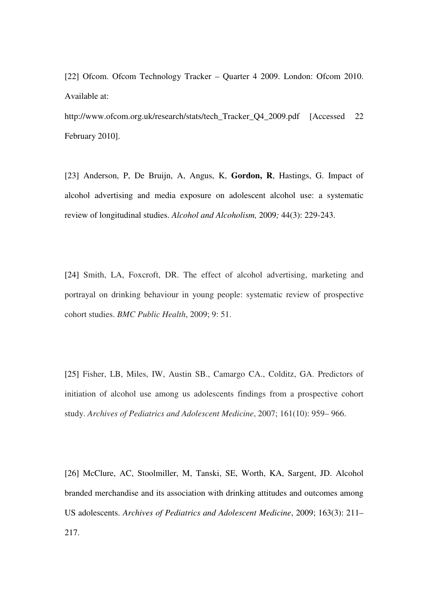[22] Ofcom. Ofcom Technology Tracker – Quarter 4 2009. London: Ofcom 2010. Available at:

http://www.ofcom.org.uk/research/stats/tech\_Tracker\_Q4\_2009.pdf [Accessed 22 February 2010].

[23] Anderson, P, De Bruijn, A, Angus, K, **Gordon, R**, Hastings, G. Impact of alcohol advertising and media exposure on adolescent alcohol use: a systematic review of longitudinal studies. *Alcohol and Alcoholism,* 2009*;* 44(3): 229-243.

[24] Smith, LA, Foxcroft, DR. The effect of alcohol advertising, marketing and portrayal on drinking behaviour in young people: systematic review of prospective cohort studies. *BMC Public Health*, 2009; 9: 51.

[25] Fisher, LB, Miles, IW, Austin SB., Camargo CA., Colditz, GA. Predictors of initiation of alcohol use among us adolescents findings from a prospective cohort study. *Archives of Pediatrics and Adolescent Medicine*, 2007; 161(10): 959– 966.

[26] McClure, AC, Stoolmiller, M, Tanski, SE, Worth, KA, Sargent, JD. Alcohol branded merchandise and its association with drinking attitudes and outcomes among US adolescents. *Archives of Pediatrics and Adolescent Medicine*, 2009; 163(3): 211– 217.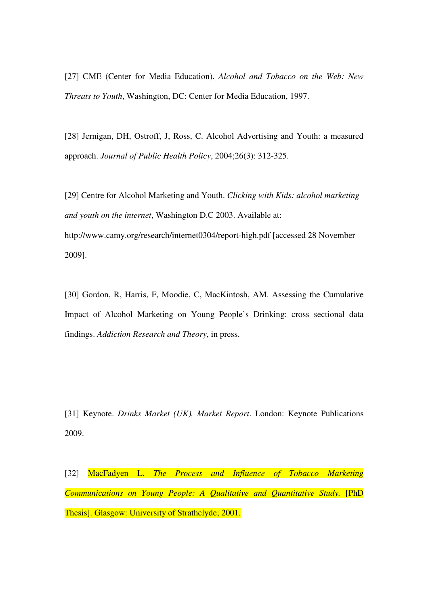[27] CME (Center for Media Education). *Alcohol and Tobacco on the Web: New Threats to Youth*, Washington, DC: Center for Media Education, 1997.

[28] Jernigan, DH, Ostroff, J, Ross, C. Alcohol Advertising and Youth: a measured approach. *Journal of Public Health Policy*, 2004;26(3): 312-325.

[29] Centre for Alcohol Marketing and Youth. *Clicking with Kids: alcohol marketing and youth on the internet*, Washington D.C 2003. Available at: http://www.camy.org/research/internet0304/report-high.pdf [accessed 28 November 2009].

[30] Gordon, R, Harris, F, Moodie, C, MacKintosh, AM. Assessing the Cumulative Impact of Alcohol Marketing on Young People's Drinking: cross sectional data findings. *Addiction Research and Theory*, in press.

[31] Keynote. *Drinks Market (UK), Market Report*. London: Keynote Publications 2009.

[32] MacFadyen L. *The Process and Influence of Tobacco Marketing Communications on Young People: A Qualitative and Quantitative Study.* [PhD Thesis]. Glasgow: University of Strathclyde; 2001.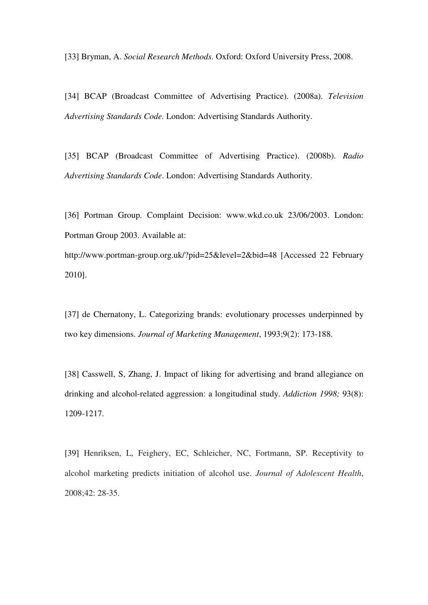[33] Bryman, A. *Social Research Methods*. Oxford: Oxford University Press, 2008.

[34] BCAP (Broadcast Committee of Advertising Practice). (2008a). *Television Advertising Standards Code.* London: Advertising Standards Authority.

[35] BCAP (Broadcast Committee of Advertising Practice). (2008b). *Radio Advertising Standards Code*. London: Advertising Standards Authority.

[36] Portman Group. Complaint Decision: www.wkd.co.uk 23/06/2003. London: Portman Group 2003. Available at:

http://www.portman-group.org.uk/?pid=25&level=2&bid=48 [Accessed 22 February 2010].

[37] de Chernatony, L. Categorizing brands: evolutionary processes underpinned by two key dimensions. *Journal of Marketing Management*, 1993;9(2): 173-188.

[38] Casswell, S. Zhang, J. Impact of liking for advertising and brand allegiance on drinking and alcohol-related aggression: a longitudinal study. *Addiction 1998;* 93(8): 1209-1217.

[39] Henriksen, L, Feighery, EC, Schleicher, NC, Fortmann, SP. Receptivity to alcohol marketing predicts initiation of alcohol use. *Journal of Adolescent Health*, 2008;42: 28-35.